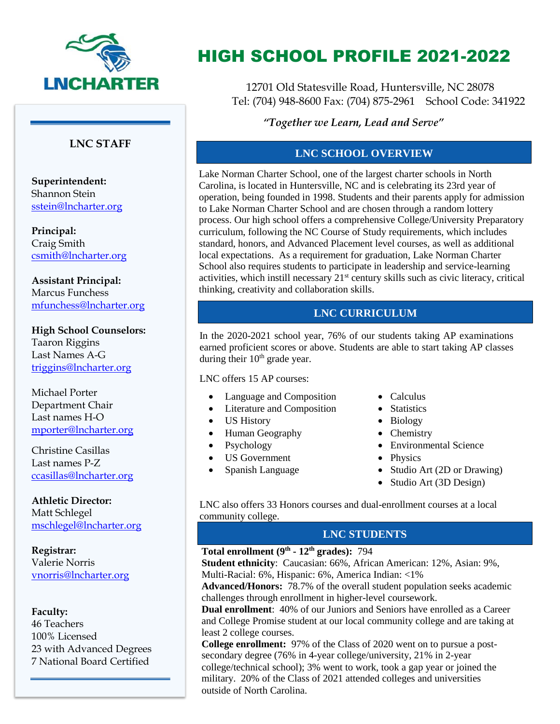

## **LNC STAFF**

**Superintendent:**  Shannon Stein [sstein@lncharter.org](mailto:sstein@lncharter.org)

**Principal:** Craig Smith [csmith@lncharter.org](mailto:csmith@lncharter.org)

**Assistant Principal:** Marcus Funchess [mfunchess@lncharter.org](mailto:mfunchess@lncharter.org)

**High School Counselors:** Taaron Riggins Last Names A-G [triggins@lncharter.org](mailto:triggins@lncharter.org)

Michael Porter Department Chair Last names H-O [mporter@lncharter.org](mailto:mporter@lncharter.org)

Christine Casillas Last names P-Z [ccasillas@lncharter.org](mailto:ccasillas@lncharter.org)

**Athletic Director:**  Matt Schlegel [mschlegel@lncharter.org](mailto:mschlegel@lncharter.org)

**Registrar:** Valerie Norris [vnorris@lncharter.org](mailto:vnorris@lncharter.org)

#### **Faculty:**

46 Teachers 100% Licensed 23 with Advanced Degrees 7 National Board Certified

# HIGH SCHOOL PROFILE 2021-2022

12701 Old Statesville Road, Huntersville, NC 28078 Tel: (704) 948-8600 Fax: (704) 875-2961 School Code: 341922

*"Together we Learn, Lead and Serve"*

# **LNC SCHOOL OVERVIEW**

Lake Norman Charter School, one of the largest charter schools in North Carolina, is located in Huntersville, NC and is celebrating its 23rd year of operation, being founded in 1998. Students and their parents apply for admission to Lake Norman Charter School and are chosen through a random lottery process. Our high school offers a comprehensive College/University Preparatory curriculum, following the NC Course of Study requirements, which includes standard, honors, and Advanced Placement level courses, as well as additional local expectations. As a requirement for graduation, Lake Norman Charter School also requires students to participate in leadership and service-learning activities, which instill necessary  $21<sup>st</sup>$  century skills such as civic literacy, critical thinking, creativity and collaboration skills.

# **LNC CURRICULUM**

In the 2020-2021 school year, 76% of our students taking AP examinations earned proficient scores or above. Students are able to start taking AP classes during their  $10<sup>th</sup>$  grade year.

### LNC offers 15 AP courses:

- Language and Composition
- Literature and Composition
- US History
- Human Geography
- Psychology
- US Government
- Spanish Language
- Calculus
- Statistics
- Biology
- Chemistry
- Environmental Science
- Physics
- Studio Art (2D or Drawing)
- Studio Art (3D Design)

LNC also offers 33 Honors courses and dual-enrollment courses at a local community college.

## **LNC STUDENTS**

## **Total enrollment (9th - 12th grades):** 794

**Student ethnicity**: Caucasian: 66%, African American: 12%, Asian: 9%, Multi-Racial: 6%, Hispanic: 6%, America Indian: <1%

**Advanced/Honors:** 78.7% of the overall student population seeks academic challenges through enrollment in higher-level coursework.

**Dual enrollment**: 40% of our Juniors and Seniors have enrolled as a Career and College Promise student at our local community college and are taking at least 2 college courses.

**College enrollment:** 97% of the Class of 2020 went on to pursue a postsecondary degree (76% in 4-year college/university, 21% in 2-year college/technical school); 3% went to work, took a gap year or joined the military. 20% of the Class of 2021 attended colleges and universities outside of North Carolina.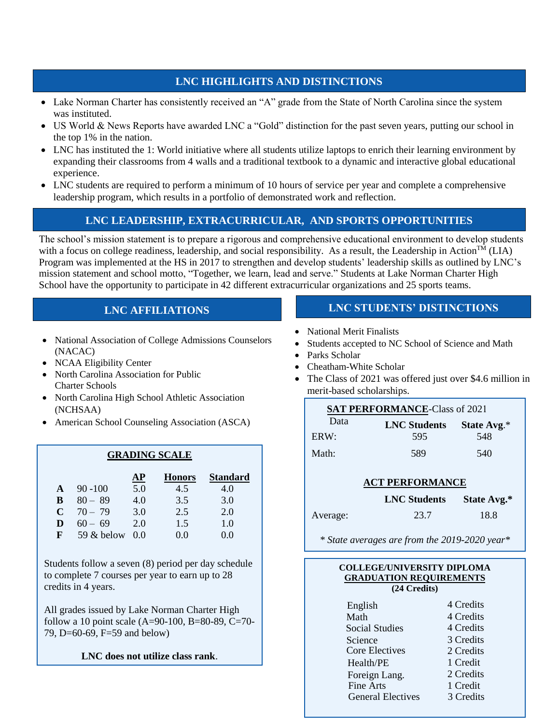## **LNC HIGHLIGHTS AND DISTINCTIONS**

- Lake Norman Charter has consistently received an "A" grade from the State of North Carolina since the system was instituted.
- US World & News Reports have awarded LNC a "Gold" distinction for the past seven years, putting our school in the top 1% in the nation.
- LNC has instituted the 1: World initiative where all students utilize laptops to enrich their learning environment by expanding their classrooms from 4 walls and a traditional textbook to a dynamic and interactive global educational experience.
- LNC students are required to perform a minimum of 10 hours of service per year and complete a comprehensive leadership program, which results in a portfolio of demonstrated work and reflection.

# **LNC LEADERSHIP, EXTRACURRICULAR, AND SPORTS OPPORTUNITIES**

The school's mission statement is to prepare a rigorous and comprehensive educational environment to develop students with a focus on college readiness, leadership, and social responsibility. As a result, the Leadership in Action<sup>TM</sup> (LIA) Program was implemented at the HS in 2017 to strengthen and develop students' leadership skills as outlined by LNC's mission statement and school motto, "Together, we learn, lead and serve." Students at Lake Norman Charter High School have the opportunity to participate in 42 different extracurricular organizations and 25 sports teams.

# **LNC AFFILIATIONS**

- National Association of College Admissions Counselors (NACAC)
- NCAA Eligibility Center
- North Carolina Association for Public Charter Schools
- North Carolina High School Athletic Association (NCHSAA)
- American School Counseling Association (ASCA)

## **GRADING SCALE**

|   |              | АP  | <b>Honors</b> | <b>Standard</b> |
|---|--------------|-----|---------------|-----------------|
| A | $90 - 100$   | 5.0 | 4.5           | 4.0             |
| В | $80 - 89$    | 4.0 | 3.5           | 3.0             |
| C | $70 - 79$    | 3.0 | 2.5           | 2.0             |
| D | $60 - 69$    | 2.0 | 1.5           | 1.0             |
| F | 59 $&$ below | 00  | 0.0           | 0.0             |

Students follow a seven (8) period per day schedule to complete 7 courses per year to earn up to 28 credits in 4 years.

All grades issued by Lake Norman Charter High follow a 10 point scale  $(A=90-100, B=80-89, C=70-$ 79, D=60-69, F=59 and below)

### **LNC does not utilize class rank**.

# **LNC STUDENTS' DISTINCTIONS**

- National Merit Finalists
- Students accepted to NC School of Science and Math
- Parks Scholar
- Cheatham-White Scholar
- The Class of 2021 was offered just over \$4.6 million in merit-based scholarships.

| <b>SAT PERFORMANCE-Class of 2021</b> |                     |             |  |  |  |
|--------------------------------------|---------------------|-------------|--|--|--|
| Data                                 | <b>LNC Students</b> | State Avg.* |  |  |  |
| ERW:                                 | 595                 | 548         |  |  |  |
| Math:                                | 589                 | 540         |  |  |  |

### **ACT PERFORMANCE**

|          | <b>LNC</b> Students | State Avg.* |
|----------|---------------------|-------------|
| Average: | 23.7                | 18.8        |

*\* State averages are from the 2019-2020 year\**

| <b>COLLEGE/UNIVERSITY DIPLOMA</b><br><b>GRADUATION REQUIREMENTS</b><br>(24 Credits) |           |  |  |  |  |
|-------------------------------------------------------------------------------------|-----------|--|--|--|--|
| English                                                                             | 4 Credits |  |  |  |  |
| Math                                                                                | 4 Credits |  |  |  |  |
| <b>Social Studies</b>                                                               | 4 Credits |  |  |  |  |
| Science                                                                             | 3 Credits |  |  |  |  |
| Core Electives                                                                      | 2 Credits |  |  |  |  |
| Health/PE                                                                           | 1 Credit  |  |  |  |  |
| Foreign Lang.                                                                       | 2 Credits |  |  |  |  |
| <b>Fine Arts</b>                                                                    | 1 Credit  |  |  |  |  |
| <b>General Electives</b>                                                            | 3 Credits |  |  |  |  |